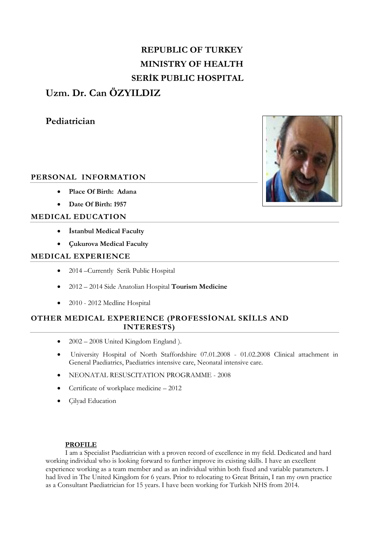# **REPUBLIC OF TURKEY MINISTRY OF HEALTH SERİK PUBLIC HOSPITAL**

## **Uzm. Dr. Can ÖZYILDIZ**

**Pediatrician**

### **PERSONAL INFORMATION**

- **Place Of Birth: Adana**
- **Date Of Birth: 1957**

#### **MEDICAL EDUCATION**

- **İstanbul Medical Faculty**
- **Çukurova Medical Faculty**

#### **MEDICAL EXPERIENCE**

- 2014 –Currently Serik Public Hospital
- 2012 2014 Side Anatolian Hospital **Tourism Medicine**
- 2010 2012 Medline Hospital

### **OTHER MEDICAL EXPERIENCE (PROFESSİONAL SKİLLS AND INTERESTS)**

- $\bullet$  2002 2008 United Kingdom England ).
- University Hospital of North Staffordshire 07.01.2008 01.02.2008 Clinical attachment in General Paediatrics, Paediatrics intensive care, Neonatal intensive care.
- NEONATAL RESUSCITATION PROGRAMME 2008
- Certificate of workplace medicine 2012
- Cilvad Education

#### **PROFILE**

 I am a Specialist Paediatrician with a proven record of excellence in my field. Dedicated and hard working individual who is looking forward to further improve its existing skills. I have an excellent experience working as a team member and as an individual within both fixed and variable parameters. I had lived in The United Kingdom for 6 years. Prior to relocating to Great Britain, I ran my own practice as a Consultant Paediatrician for 15 years. I have been working for Turkish NHS from 2014.